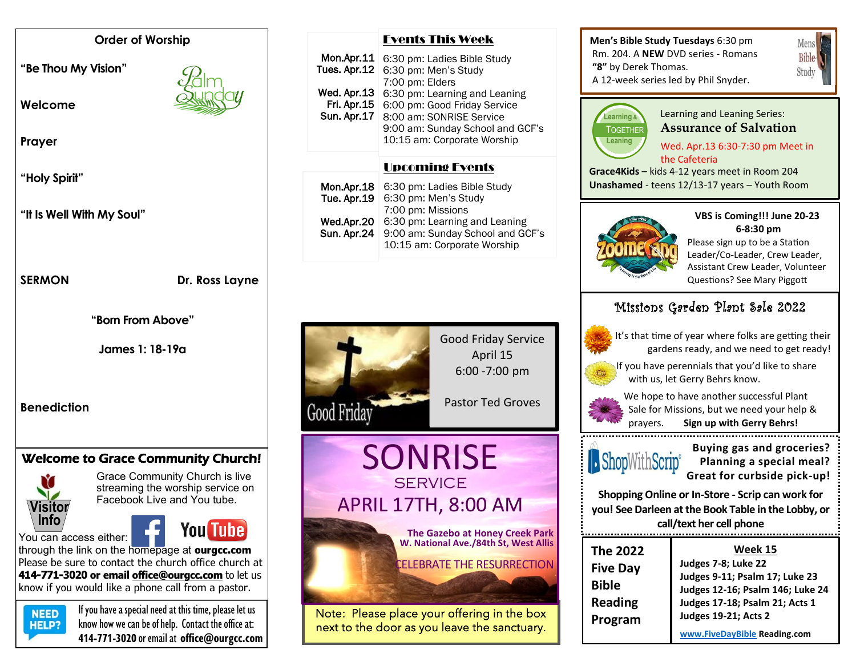#### **Order of Worship**

**"Be Thou My Vision"** 

**Prayer**

**Welcome** 

**"Holy Spirit"**

**"It Is Well With My Soul"**

SERMON Dr. Ross Layne

**"Born From Above"**

**James 1: 18-19a**

**Benediction**

# Welcome to Grace Community Church!



Grace Community Church is live streaming the worship service on Facebook Live and You tube.

# You Tube

through the link on the homepage at **ourgcc.com**  Please be sure to contact the church office church at **414-771-3020 or email [office@ourgcc.com](mailto:office@ourgcc.com)** to let us know if you would like a phone call from a pastor.

 $NED$  If you have a special need at this time, please let us **HELP?** know how we can be of help. Contact the office at: **414-771-3020** or email at **[office@ourgcc.com](mailto:office@ourgcc.com)**

#### Events This Week

| Mon.Apr.11<br>Tues. Apr.12<br>Wed. Apr.13<br>Fri. Apr.15<br><b>Sun. Apr.17</b> | 6:30 pm: Ladies Bible Study<br>6:30 pm: Men's Study<br>7:00 pm: Elders<br>6:30 pm: Learning and Leaning<br>6:00 pm: Good Friday Service<br>8:00 am: SONRISE Service<br>9:00 am: Sunday School and GCF's<br>10:15 am: Corporate Worship |
|--------------------------------------------------------------------------------|----------------------------------------------------------------------------------------------------------------------------------------------------------------------------------------------------------------------------------------|
|                                                                                | <b>Upcoming Events</b>                                                                                                                                                                                                                 |
| Mon.Apr.18<br>Tue. Apr.19                                                      | 6:30 pm: Ladies Bible Study<br>6:30 pm: Men's Study<br>7:00 pm: Missions                                                                                                                                                               |

6:30 pm: Learning and Leaning 9:00 am: Sunday School and GCF's 10:15 am: Corporate Worship



Wed.Apr.20 Sun. Apr.24

> Good Friday Service April 15 6:00 -7:00 pm

Pastor Ted Groves



next to the door as you leave the sanctuary.

**Men's Bible Study Tuesdays** 6:30 pm Rm. 204. A **NEW** DVD series - Romans **"8"** by Derek Thomas. A 12-week series led by Phil Snyder.





Learning and Leaning Series: **Assurance of Salvation** Wed. Apr.13 6:30-7:30 pm Meet in

**Grace4Kids** – kids 4-12 years meet in Room 204 **Unashamed** - teens 12/13-17 years – Youth Room **The Cafeteria** 

**VBS is Coming!!! June 20-23 6-8:30 pm**

Please sign up to be a Station Leader/Co-Leader, Crew Leader, Assistant Crew Leader, Volunteer Questions? See Mary Piggott

# Missions Garden Plant Sale 2022



 It's that time of year where folks are getting their gardens ready, and we need to get ready!

 If you have perennials that you'd like to share with us, let Gerry Behrs know.



 We hope to have another successful Plant Sale for Missions, but we need your help & prayers. **Sign up with Gerry Behrs!**

. . . . . . . . . . . . . . .

**Buying gas and groceries?**<br>**C** ShopWithScrip<sup>®</sup> Planning a special meal? **Planning a special meal? Great for curbside pick-up!**

**Shopping Online or In-Store - Scrip can work for you! See Darleen at the Book Table in the Lobby, or call/text her cell phone**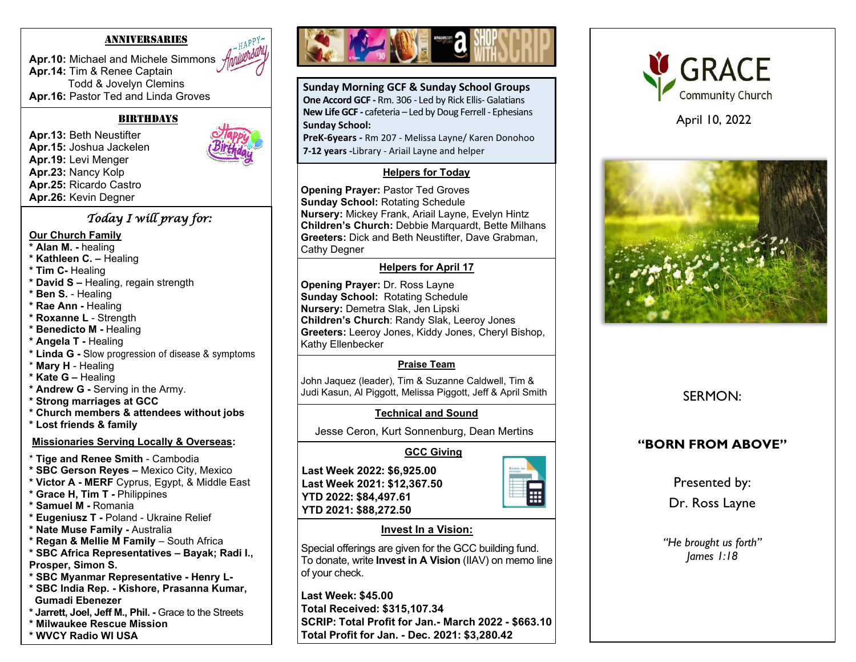#### ANNIVERSARIES

**Apr.10: Michael and Michele Simmons 4 Apr.14:** Tim & Renee Captain Todd & Jovelyn Clemins **Apr.16:** Pastor Ted and Linda Groves

#### **BIRTHDAYS**

**Apr.13:** Beth Neustifter **Apr.15:** Joshua Jackelen **Apr.19:** Levi Menger **Apr.23:** Nancy Kolp **Apr.25:** Ricardo Castro **Apr.26:** Kevin Degner

### *Today I will pray for:*

#### **Our Church Family**

- **\* Alan M. -** healing
- **\* Kathleen C. –** Healing
- **\* Tim C-** Healing
- **\* David S –** Healing, regain strength
- **\* Ben S.** Healing
- **\* Rae Ann -** Healing
- **\* Roxanne L**  Strength
- **\* Benedicto M -** Healing
- **\* Angela T -** Healing
- **\* Linda G -** Slow progression of disease & symptoms
- \* **Mary H**  Healing
- **\* Kate G –** Healing
- **\* Andrew G -** Serving in the Army.
- **\* Strong marriages at GCC**
- **\* Church members & attendees without jobs**
- **\* Lost friends & family**

#### **Missionaries Serving Locally & Overseas:**

- \* **Tige and Renee Smith** Cambodia
- **\* SBC Gerson Reyes –** Mexico City, Mexico
- **\* Victor A - MERF** Cyprus, Egypt, & Middle East
- **\* Grace H, Tim T -** Philippines
- **\* Samuel M -** Romania
- **\* Eugeniusz T -** Poland Ukraine Relief
- **\* Nate Muse Family -** Australia
- **\* Regan & Mellie M Family**  South Africa
- **\* SBC Africa Representatives – Bayak; Radi I.,**
- **Prosper, Simon S.**
- **\* SBC Myanmar Representative - Henry L-**
- **\* SBC India Rep. - Kishore, Prasanna Kumar, Gumadi Ebenezer**
- **\* Jarrett, Joel, Jeff M., Phil. -** Grace to the Streets
- **\* Milwaukee Rescue Mission**





**Sunday Morning GCF & Sunday School Groups One Accord GCF -** Rm. 306 - Led by Rick Ellis- Galatians **New Life GCF -** cafeteria – Led by Doug Ferrell - Ephesians **Sunday School:**

**PreK-6years -** Rm 207 - Melissa Layne/ Karen Donohoo **7-12 years -**Library - Ariail Layne and helper

### **Helpers for Today**

**Opening Prayer:** Pastor Ted Groves **Sunday School:** Rotating Schedule **Nursery:** Mickey Frank, Ariail Layne, Evelyn Hintz **Children's Church:** Debbie Marquardt, Bette Milhans **Greeters:** Dick and Beth Neustifter, Dave Grabman, Cathy Degner

#### **Helpers for April 17**

 Kathy Ellenbecker **Opening Prayer:** Dr. Ross Layne **Sunday School:** Rotating Schedule **Nursery:** Demetra Slak, Jen Lipski **Children's Church**: Randy Slak, Leeroy Jones **Greeters:** Leeroy Jones, Kiddy Jones, Cheryl Bishop,

## **Praise Team**

John Jaquez (leader), Tim & Suzanne Caldwell, Tim & Judi Kasun, Al Piggott, Melissa Piggott, Jeff & April Smith

## **Technical and Sound**

Jesse Ceron, Kurt Sonnenburg, Dean Mertins

## **GCC Giving**

**Last Week 2022: \$6,925.00 Last Week 2021: \$12,367.50 YTD 2022: \$84,497.61 YTD 2021: \$88,272.50**



#### **Invest In a Vision:**

Special offerings are given for the GCC building fund. To donate, write **Invest in A Vision** (IIAV) on memo line of your check.

**Last Week: \$45.00 Total Received: \$315,107.34 SCRIP: Total Profit for Jan.- March 2022 - \$663.10 Total Profit for Jan. - Dec. 2021: \$3,280.42**



April 10, 2022



# SERMON:

## **"BORN FROM ABOVE"**

Presented by:

Dr. Ross Layne

*"He brought us forth" James 1:18*